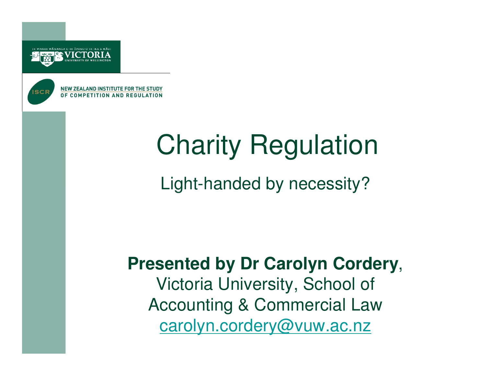



**NEW ZEALAND INSTITUTE FOR THE STUDY** OF COMPETITION AND REGULATION

## Charity Regulation

Light-handed by necessity?

**Presented by Dr Carolyn Cordery**, Victoria University, School of Accounting & Commercial Law carolyn.cordery@vuw.ac.nz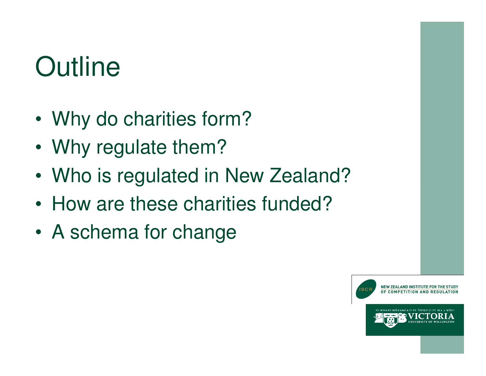## **Outline**

- •Why do charities form?
- •Why regulate them?
- •Who is regulated in New Zealand?
- •How are these charities funded?
- •A schema for change

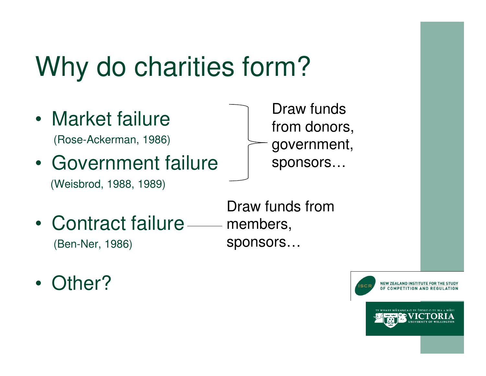### Why do charities form?

- • Market failure (Rose-Ackerman, 1986)
- • Government failure(Weisbrod, 1988, 1989)
- Draw funds from donors, government, sponsors…

- •Contract failure — members, (Ben-Ner, 1986)
- Draw funds from sponsors…

•Other?

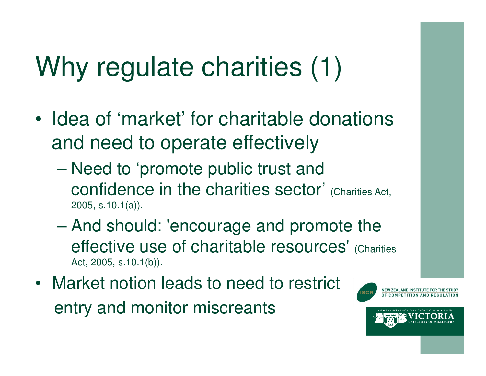## Why regulate charities (1)

- • Idea of 'market' for charitable donations and need to operate effectively
	- – Need to 'promote public trust and confidence in the charities sector' (Charities Act, 2005, s.10.1(a)).
	- And should: 'encourage and promote the effective use of charitable resources' (Charities Act, 2005, s.10.1(b)).
- Market notion leads to need to restrict entry and monitor miscreants

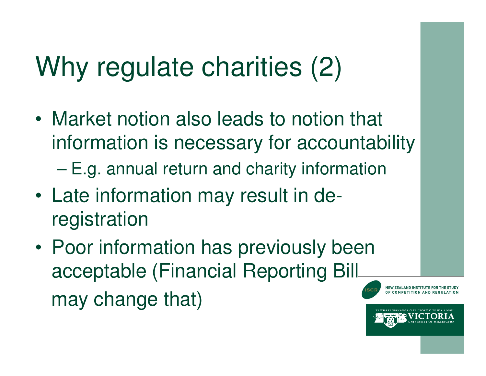## Why regulate charities (2)

- • Market notion also leads to notion that information is necessary for accountability
	- –E.g. annual return and charity information
- • Late information may result in de $\mathcal{L}_{\mathcal{A}}$ registration
- • Poor information has previously been acceptable (Financial Reporting Bill may change that)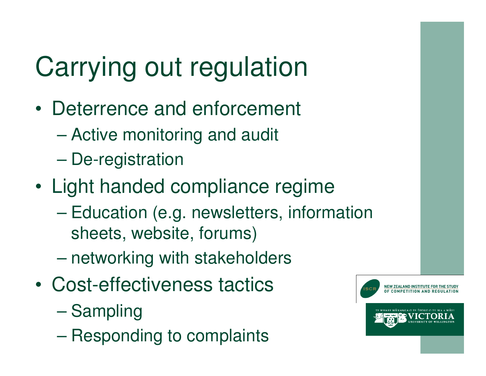# Carrying out regulation

- • Deterrence and enforcement
	- –Active monitoring and audit
	- $\mathcal{L}_{\mathcal{A}}$  , the state of the state  $\mathcal{L}_{\mathcal{A}}$ De-registration
- • Light handed compliance regime
	- – Education (e.g. newsletters, information sheets, website, forums)
	- $\mathcal{L}_{\mathcal{A}}$  , the state of the state  $\mathcal{L}_{\mathcal{A}}$ networking with stakeholders
- • Cost-effectiveness tactics
	- $\mathcal{L}_{\mathcal{A}}$  , the state of the state  $\mathcal{L}_{\mathcal{A}}$ Sampling
	- –Responding to complaints

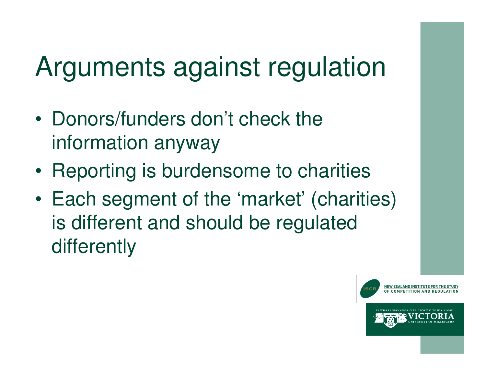### Arguments against regulation

- • Donors/funders don't check the information anyway
- •Reporting is burdensome to charities
- • Each segment of the 'market' (charities) is different and should be regulated differently

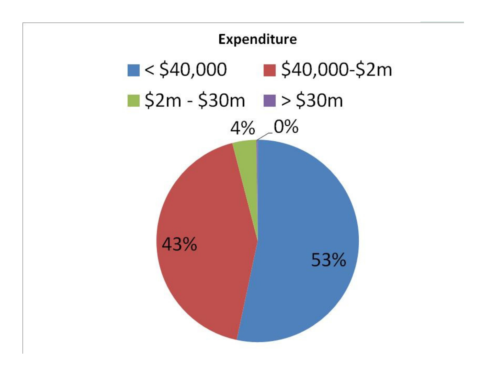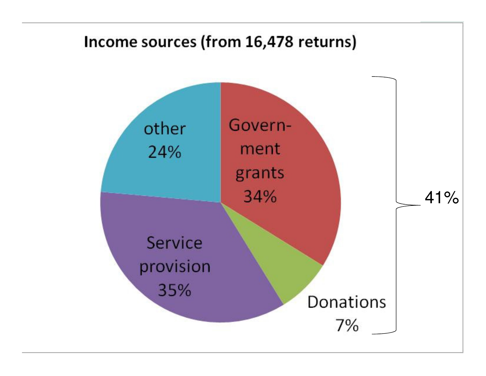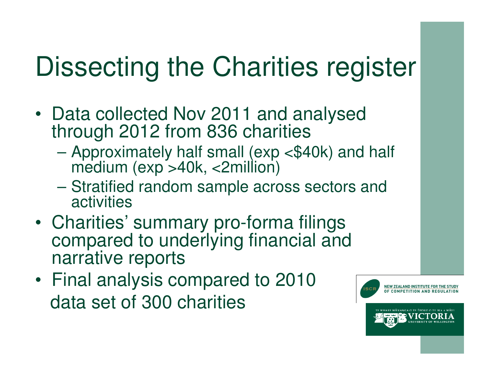### Dissecting the Charities register

- Data collected Nov 2011 and analysed through 2012 from 836 charities
	- $\mathcal{L}_{\mathcal{A}}$  , where  $\mathcal{L}_{\mathcal{A}}$  is the set of the set of the set of the set of the set of the set of the set of the set of the set of the set of the set of the set of the set of the set of the set of the set of the Approximately half small (exp <\$40k) and half medium (exp >40k, <2million)
	- Stratified random sample across sectors and activities
- Charitiae Charities' summary pro-forma filings compared to underlying financial and narrative reports
- Final analysis compared to 2010 data set of 300 charities

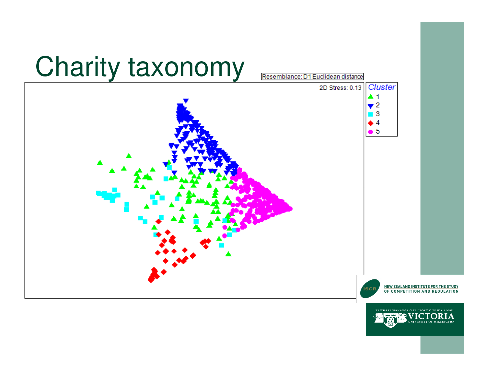#### Charity taxonomy



WHARE WÂNANGA O TE ŬPOKO O TE IKA A MÂUI

IА

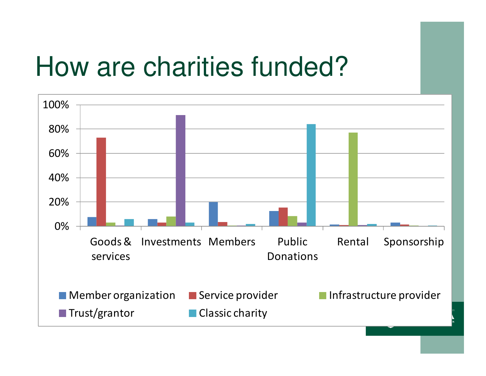#### How are charities funded?

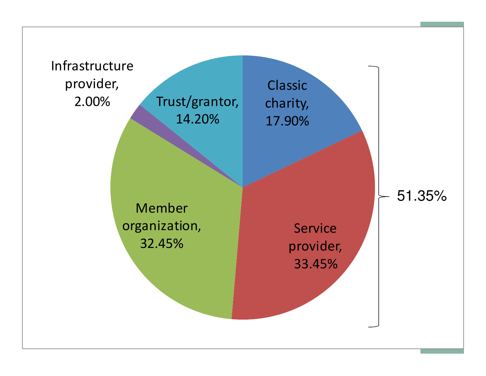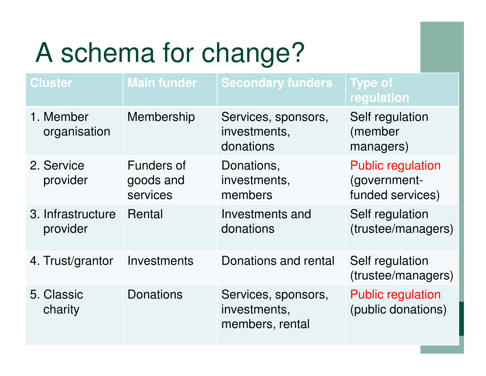# A schema for change?

| <b>Cluster</b>                | <b>Main funder</b>      | <b>Secondary funders</b>                               | <b>Type of</b><br>regulation                   |
|-------------------------------|-------------------------|--------------------------------------------------------|------------------------------------------------|
| 1. Member<br>organisation     | Membership              | Services, sponsors,<br>investments,<br>donations       | Self regulation<br>(member<br>managers)        |
| 2. Service<br>provider        | Funders of<br>goods and | Donations,<br>investments,                             | <b>Public regulation</b><br>(government-       |
|                               | services                | members                                                | funded services)                               |
| 3. Infrastructure<br>provider | Rental                  | Investments and<br>donations                           | Self regulation<br>(trustee/managers)          |
| 4. Trust/grantor              | Investments             | Donations and rental                                   | Self regulation<br>(trustee/managers)          |
| 5. Classic<br>charity         | <b>Donations</b>        | Services, sponsors,<br>investments,<br>members, rental | <b>Public regulation</b><br>(public donations) |